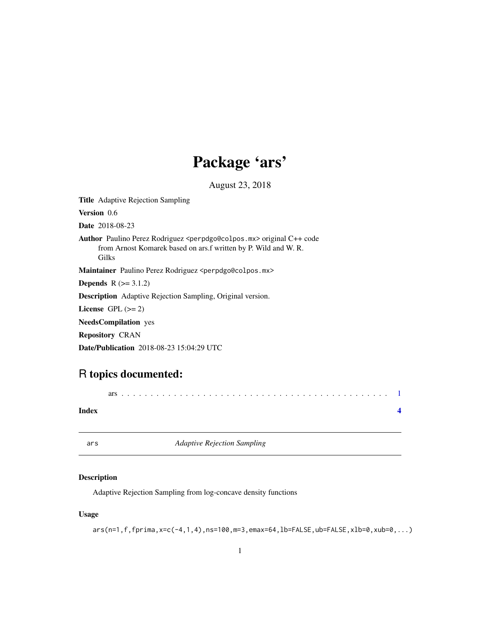# Package 'ars'

August 23, 2018

<span id="page-0-0"></span>Title Adaptive Rejection Sampling

Version 0.6

Date 2018-08-23

Author Paulino Perez Rodriguez <perpdgo@colpos.mx> original C++ code from Arnost Komarek based on ars.f written by P. Wild and W. R. Gilks

Maintainer Paulino Perez Rodriguez <perpdgo@colpos.mx>

**Depends**  $R$  ( $> = 3.1.2$ )

Description Adaptive Rejection Sampling, Original version.

License GPL  $(>= 2)$ 

NeedsCompilation yes

Repository CRAN

Date/Publication 2018-08-23 15:04:29 UTC

## R topics documented:

| Index |  |  |  |  |  |  |  |  |  |  |  |  |  |  |  |  |  |  |  |  |  |
|-------|--|--|--|--|--|--|--|--|--|--|--|--|--|--|--|--|--|--|--|--|--|

ars *Adaptive Rejection Sampling*

#### Description

Adaptive Rejection Sampling from log-concave density functions

#### Usage

```
ars(n=1,f,fprima,x=c(-4,1,4),ns=100,m=3,emax=64,lb=FALSE,ub=FALSE,xlb=0,xub=0,...)
```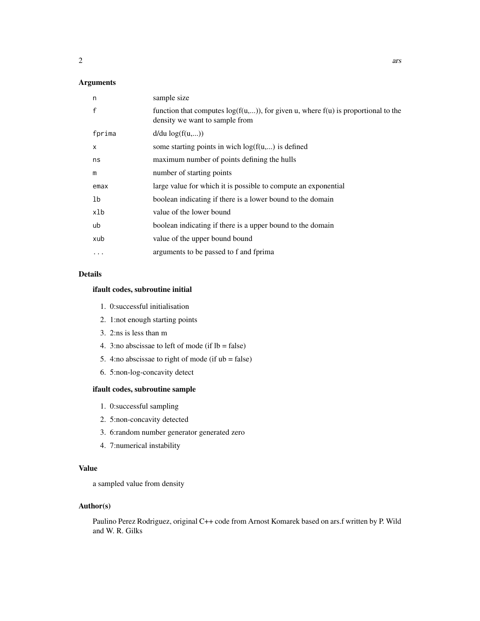#### Arguments

| n        | sample size                                                                                                              |
|----------|--------------------------------------------------------------------------------------------------------------------------|
| f        | function that computes $log(f(u,))$ , for given u, where $f(u)$ is proportional to the<br>density we want to sample from |
| fprima   | $d/du \log(f(u,))$                                                                                                       |
| X        | some starting points in wich $log(f(u,))$ is defined                                                                     |
| ns       | maximum number of points defining the hulls                                                                              |
| m        | number of starting points                                                                                                |
| emax     | large value for which it is possible to compute an exponential                                                           |
| 1b       | boolean indicating if there is a lower bound to the domain                                                               |
| xlb      | value of the lower bound                                                                                                 |
| ub       | boolean indicating if there is a upper bound to the domain                                                               |
| xub      | value of the upper bound bound                                                                                           |
| $\cdots$ | arguments to be passed to f and fprima                                                                                   |

#### Details

#### ifault codes, subroutine initial

- 1. 0:successful initialisation
- 2. 1:not enough starting points
- 3. 2:ns is less than m
- 4. 3:no abscissae to left of mode (if  $lb = false$ )
- 5. 4:no abscissae to right of mode (if  $ub = false$ )
- 6. 5:non-log-concavity detect

#### ifault codes, subroutine sample

- 1. 0:successful sampling
- 2. 5:non-concavity detected
- 3. 6:random number generator generated zero
- 4. 7:numerical instability

#### Value

a sampled value from density

#### Author(s)

Paulino Perez Rodriguez, original C++ code from Arnost Komarek based on ars.f written by P. Wild and W. R. Gilks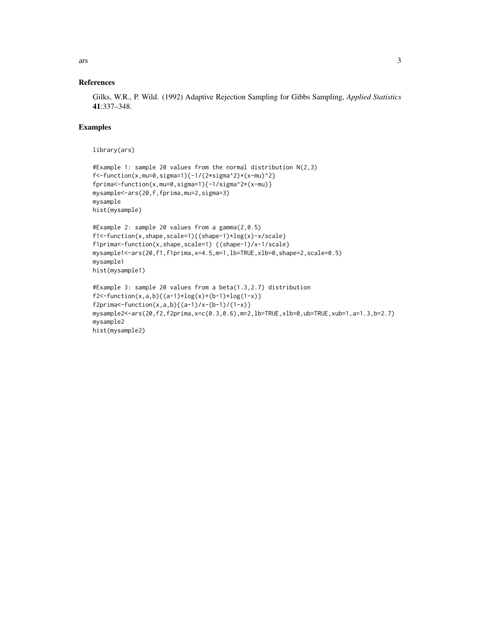ars 3

#### References

Gilks, W.R., P. Wild. (1992) Adaptive Rejection Sampling for Gibbs Sampling, *Applied Statistics* 41:337–348.

#### Examples

library(ars)

```
#Example 1: sample 20 values from the normal distribution N(2,3)
f<-function(x,mu=0,sigma=1){-1/(2*sigma^2)*(x-mu)^2}
fprima<-function(x,mu=0,sigma=1){-1/sigma^2*(x-mu)}
mysample<-ars(20,f,fprima,mu=2,sigma=3)
mysample
hist(mysample)
#Example 2: sample 20 values from a gamma(2,0.5)
f1<-function(x,shape,scale=1){(shape-1)*log(x)-x/scale}
f1prima<-function(x,shape,scale=1) {(shape-1)/x-1/scale}
mysample1<-ars(20,f1,f1prima,x=4.5,m=1,lb=TRUE,xlb=0,shape=2,scale=0.5)
mysample1
hist(mysample1)
#Example 3: sample 20 values from a beta(1.3,2.7) distribution
f2 < -function(x,a,b){(a-1)*log(x)+(b-1)*log(1-x)}
f2prima<br>-function(x,a,b){(a-1)/x-(b-1)/(1-x)}mysample2<-ars(20,f2,f2prima,x=c(0.3,0.6),m=2,lb=TRUE,xlb=0,ub=TRUE,xub=1,a=1.3,b=2.7)
mysample2
hist(mysample2)
```